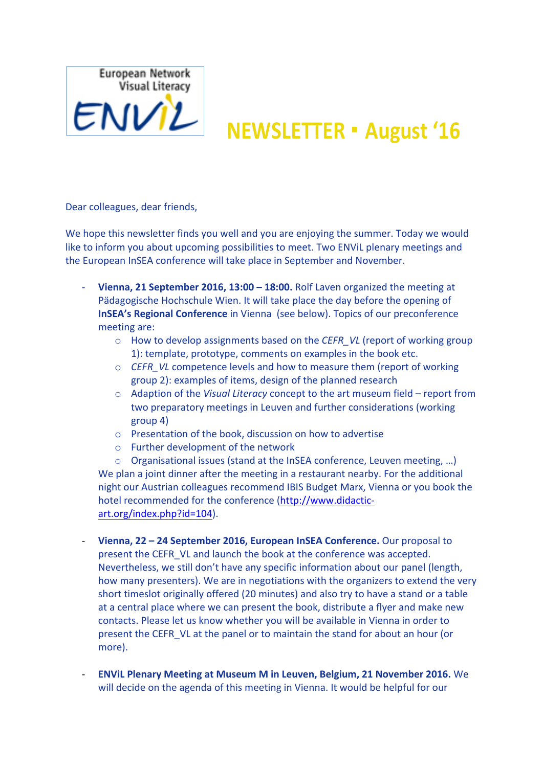

## $EWV2$  NEWSLETTER · August '16

Dear colleagues, dear friends,

We hope this newsletter finds you well and you are enjoying the summer. Today we would like to inform you about upcoming possibilities to meet. Two ENViL plenary meetings and the European InSEA conference will take place in September and November.

- **Vienna, 21 September 2016, 13:00 18:00.** Rolf Laven organized the meeting at Pädagogische Hochschule Wien. It will take place the day before the opening of **InSEA's Regional Conference** in Vienna (see below). Topics of our preconference meeting are:
	- o How to develop assignments based on the *CEFR VL* (report of working group 1): template, prototype, comments on examples in the book etc.
	- $\circ$  *CEFR VL* competence levels and how to measure them (report of working group 2): examples of items, design of the planned research
	- o Adaption of the *Visual Literacy* concept to the art museum field report from two preparatory meetings in Leuven and further considerations (working  $group 4)$
	- $\circ$  Presentation of the book, discussion on how to advertise
	- $\circ$  Further development of the network

 $\circ$  Organisational issues (stand at the InSEA conference, Leuven meeting, ...) We plan a joint dinner after the meeting in a restaurant nearby. For the additional night our Austrian colleagues recommend IBIS Budget Marx, Vienna or you book the hotel recommended for the conference (http://www.didacticart.org/index.php?id=104).

- **Vienna, 22 24 September 2016, European InSEA Conference.** Our proposal to present the CEFR VL and launch the book at the conference was accepted. Nevertheless, we still don't have any specific information about our panel (length, how many presenters). We are in negotiations with the organizers to extend the very short timeslot originally offered (20 minutes) and also try to have a stand or a table at a central place where we can present the book, distribute a flyer and make new contacts. Please let us know whether you will be available in Vienna in order to present the CEFR. VL at the panel or to maintain the stand for about an hour (or more).
- **ENVIL Plenary Meeting at Museum M in Leuven, Belgium, 21 November 2016.** We will decide on the agenda of this meeting in Vienna. It would be helpful for our